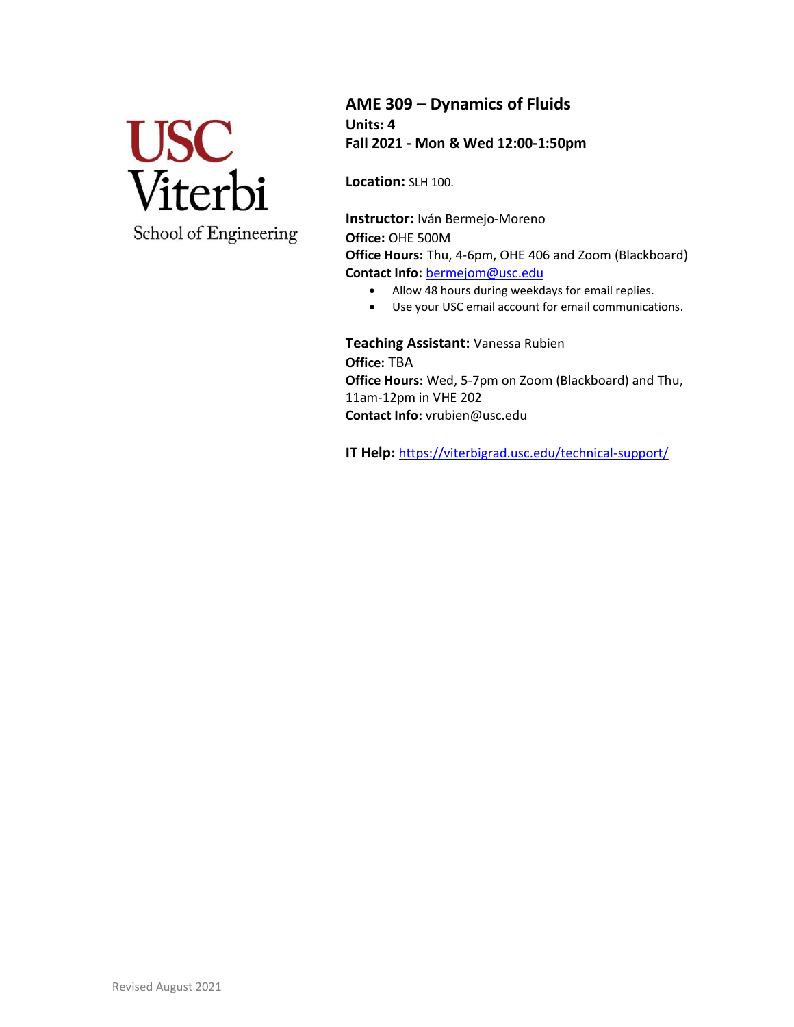

School of Engineering

**AME 309 – Dynamics of Fluids Units: 4 Fall 2021 - Mon & Wed 12:00-1:50pm**

**Location:** SLH 100.

**Instructor:** Iván Bermejo-Moreno **Office:** OHE 500M **Office Hours:** Thu, 4-6pm, OHE 406 and Zoom (Blackboard) **Contact Info:** [bermejom@usc.edu](mailto:bermejom@usc.edu)

- Allow 48 hours during weekdays for email replies.
- Use your USC email account for email communications.

**Teaching Assistant:** Vanessa Rubien **Office:** TBA **Office Hours:** Wed, 5-7pm on Zoom (Blackboard) and Thu, 11am-12pm in VHE 202 **Contact Info:** vrubien@usc.edu

**IT Help:** <https://viterbigrad.usc.edu/technical-support/>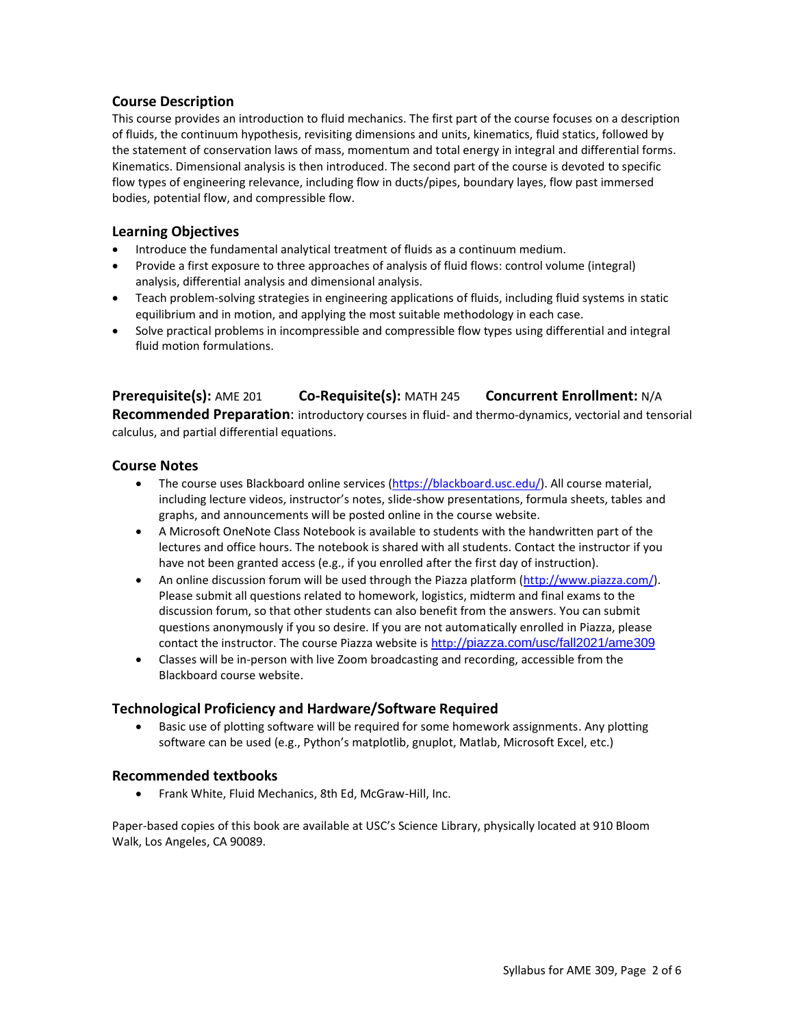## **Course Description**

This course provides an introduction to fluid mechanics. The first part of the course focuses on a description of fluids, the continuum hypothesis, revisiting dimensions and units, kinematics, fluid statics, followed by the statement of conservation laws of mass, momentum and total energy in integral and differential forms. Kinematics. Dimensional analysis is then introduced. The second part of the course is devoted to specific flow types of engineering relevance, including flow in ducts/pipes, boundary layes, flow past immersed bodies, potential flow, and compressible flow.

## **Learning Objectives**

- Introduce the fundamental analytical treatment of fluids as a continuum medium.
- Provide a first exposure to three approaches of analysis of fluid flows: control volume (integral) analysis, differential analysis and dimensional analysis.
- Teach problem-solving strategies in engineering applications of fluids, including fluid systems in static equilibrium and in motion, and applying the most suitable methodology in each case.
- Solve practical problems in incompressible and compressible flow types using differential and integral fluid motion formulations.

## **Prerequisite(s):** AME 201 **Co-Requisite(s):** MATH 245 **Concurrent Enrollment:** N/A

**Recommended Preparation**: introductory courses in fluid- and thermo-dynamics, vectorial and tensorial calculus, and partial differential equations.

## **Course Notes**

- The course uses Blackboard online services [\(https://blackboard.usc.edu/\)](https://blackboard.usc.edu/). All course material, including lecture videos, instructor's notes, slide-show presentations, formula sheets, tables and graphs, and announcements will be posted online in the course website.
- A Microsoft OneNote Class Notebook is available to students with the handwritten part of the lectures and office hours. The notebook is shared with all students. Contact the instructor if you have not been granted access (e.g., if you enrolled after the first day of instruction).
- An online discussion forum will be used through the Piazza platform [\(http://www.piazza.com/\)](http://www.piazza.com/). Please submit all questions related to homework, logistics, midterm and final exams to the discussion forum, so that other students can also benefit from the answers. You can submit questions anonymously if you so desire. If you are not automatically enrolled in Piazza, please contact the instructor. The course Piazza website i[s http://](http://piazza.com/usc/fall2021/ame309)[piazza.com/usc/fall2021/ame309](http://piazza.com/usc/fall2021/ame309)
- Classes will be in-person with live Zoom broadcasting and recording, accessible from the Blackboard course website.

## **Technological Proficiency and Hardware/Software Required**

• Basic use of plotting software will be required for some homework assignments. Any plotting software can be used (e.g., Python's matplotlib, gnuplot, Matlab, Microsoft Excel, etc.)

## **Recommended textbooks**

• Frank White, Fluid Mechanics, 8th Ed, McGraw-Hill, Inc.

Paper-based copies of this book are available at USC's Science Library, physically located at 910 Bloom Walk, Los Angeles, CA 90089.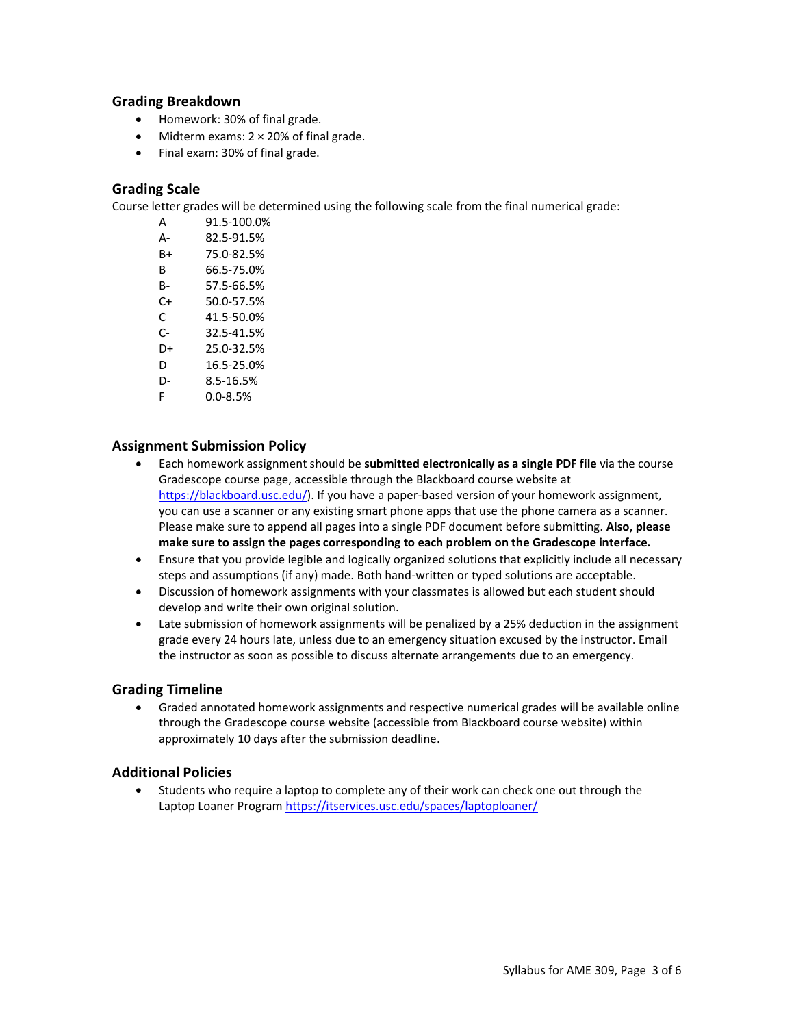## **Grading Breakdown**

- Homework: 30% of final grade.
- Midterm exams:  $2 \times 20\%$  of final grade.
- Final exam: 30% of final grade.

## **Grading Scale**

Course letter grades will be determined using the following scale from the final numerical grade:

| А  | 91.5-100.0% |
|----|-------------|
| А- | 82.5-91.5%  |
| B+ | 75.0-82.5%  |
| в  | 66.5-75.0%  |

- B- 57.5-66.5%
- C+ 50.0-57.5%
- C 41.5-50.0%
- C- 32.5-41.5%
- D+ 25.0-32.5%
- D 16.5-25.0%
- D- 8.5-16.5%
- F 0.0-8.5%

### **Assignment Submission Policy**

- Each homework assignment should be **submitted electronically as a single PDF file** via the course Gradescope course page, accessible through the Blackboard course website at [https://blackboard.usc.edu/\)](https://blackboard.usc.edu/). If you have a paper-based version of your homework assignment, you can use a scanner or any existing smart phone apps that use the phone camera as a scanner. Please make sure to append all pages into a single PDF document before submitting. **Also, please make sure to assign the pages corresponding to each problem on the Gradescope interface.**
- Ensure that you provide legible and logically organized solutions that explicitly include all necessary steps and assumptions (if any) made. Both hand-written or typed solutions are acceptable.
- Discussion of homework assignments with your classmates is allowed but each student should develop and write their own original solution.
- Late submission of homework assignments will be penalized by a 25% deduction in the assignment grade every 24 hours late, unless due to an emergency situation excused by the instructor. Email the instructor as soon as possible to discuss alternate arrangements due to an emergency.

#### **Grading Timeline**

• Graded annotated homework assignments and respective numerical grades will be available online through the Gradescope course website (accessible from Blackboard course website) within approximately 10 days after the submission deadline.

#### **Additional Policies**

• Students who require a laptop to complete any of their work can check one out through the Laptop Loaner Program<https://itservices.usc.edu/spaces/laptoploaner/>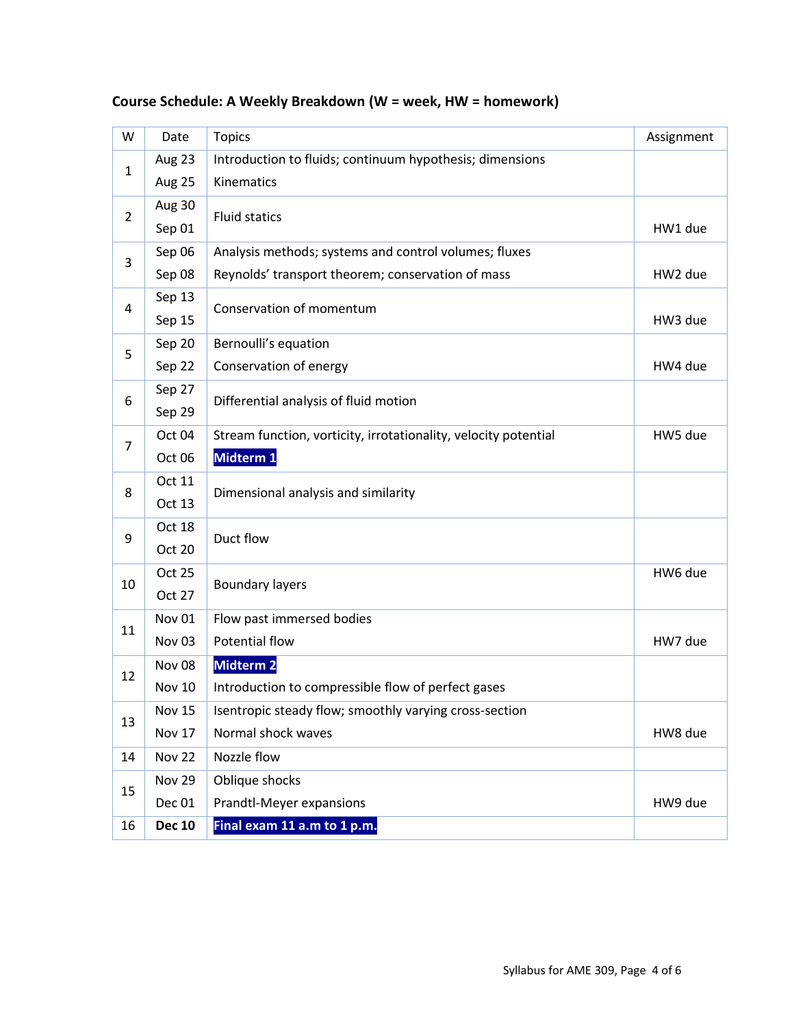| W              | Date              | <b>Topics</b>                                                   | Assignment |
|----------------|-------------------|-----------------------------------------------------------------|------------|
| 1              | Aug 23            | Introduction to fluids; continuum hypothesis; dimensions        |            |
|                | Aug 25            | Kinematics                                                      |            |
| $\overline{2}$ | Aug 30            | <b>Fluid statics</b>                                            |            |
|                | Sep 01            |                                                                 | HW1 due    |
| 3              | Sep 06            | Analysis methods; systems and control volumes; fluxes           |            |
|                | Sep 08            | Reynolds' transport theorem; conservation of mass               | HW2 due    |
| 4              | Sep 13            | Conservation of momentum                                        |            |
|                | Sep 15            |                                                                 | HW3 due    |
| 5              | Sep 20            | Bernoulli's equation                                            |            |
|                | Sep 22            | Conservation of energy                                          | HW4 due    |
| 6              | Sep 27            | Differential analysis of fluid motion                           |            |
|                | Sep 29            |                                                                 |            |
| $\overline{7}$ | Oct 04            | Stream function, vorticity, irrotationality, velocity potential | HW5 due    |
|                | Oct 06            | Midterm 1                                                       |            |
| 8              | Oct 11            | Dimensional analysis and similarity                             |            |
|                | Oct 13            |                                                                 |            |
| 9              | Oct 18            | Duct flow                                                       |            |
|                | <b>Oct 20</b>     |                                                                 |            |
| 10             | <b>Oct 25</b>     | <b>Boundary layers</b>                                          | HW6 due    |
|                | Oct 27            |                                                                 |            |
| 11             | Nov 01            | Flow past immersed bodies                                       |            |
|                | Nov <sub>03</sub> | Potential flow                                                  | HW7 due    |
| 12             | Nov <sub>08</sub> | <b>Midterm 2</b>                                                |            |
|                | <b>Nov 10</b>     | Introduction to compressible flow of perfect gases              |            |
| 13             | <b>Nov 15</b>     | Isentropic steady flow; smoothly varying cross-section          |            |
|                | Nov 17            | Normal shock waves                                              | HW8 due    |
| 14             | <b>Nov 22</b>     | Nozzle flow                                                     |            |
| 15             | <b>Nov 29</b>     | Oblique shocks                                                  |            |
|                | Dec 01            | Prandtl-Meyer expansions                                        | HW9 due    |
| 16             | <b>Dec 10</b>     | Final exam 11 a.m to 1 p.m.                                     |            |

# **Course Schedule: A Weekly Breakdown (W = week, HW = homework)**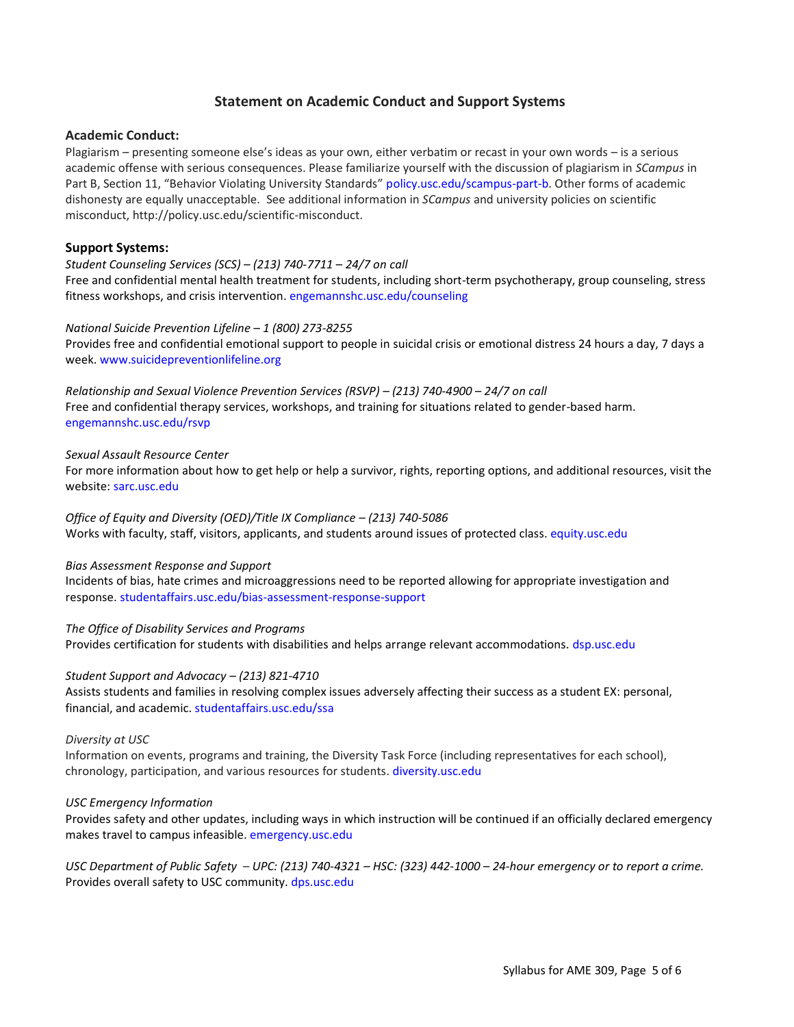## **Statement on Academic Conduct and Support Systems**

#### **Academic Conduct:**

Plagiarism – presenting someone else's ideas as your own, either verbatim or recast in your own words – is a serious academic offense with serious consequences. Please familiarize yourself with the discussion of plagiarism in *SCampus* in Part B, Section 11, "Behavior Violating University Standards" [policy.usc.edu/scampus-part-b.](https://policy.usc.edu/scampus-part-b/) Other forms of academic dishonesty are equally unacceptable. See additional information in *SCampus* and university policies on scientific misconduct, http://policy.usc.edu/scientific-misconduct.

#### **Support Systems:**

## *Student Counseling Services (SCS) – (213) 740-7711 – 24/7 on call* Free and confidential mental health treatment for students, including short-term psychotherapy, group counseling, stress

fitness workshops, and crisis intervention[. engemannshc.usc.edu/counseling](https://engemannshc.usc.edu/counseling)

#### *National Suicide Prevention Lifeline – 1 (800) 273-8255*

Provides free and confidential emotional support to people in suicidal crisis or emotional distress 24 hours a day, 7 days a week. [www.suicidepreventionlifeline.org](http://www.suicidepreventionlifeline.org/)

*Relationship and Sexual Violence Prevention Services (RSVP) – (213) 740-4900 – 24/7 on call* Free and confidential therapy services, workshops, and training for situations related to gender-based harm. [engemannshc.usc.edu/rsvp](https://engemannshc.usc.edu/rsvp/)

#### *Sexual Assault Resource Center*

For more information about how to get help or help a survivor, rights, reporting options, and additional resources, visit the website: [sarc.usc.edu](http://sarc.usc.edu/)

# *Office of Equity and Diversity (OED)/Title IX Compliance - (213) 740-5086*

Works with faculty, staff, visitors, applicants, and students around issues of protected class[. equity.usc.edu](http://equity.usc.edu/)

#### *Bias Assessment Response and Support*

Incidents of bias, hate crimes and microaggressions need to be reported allowing for appropriate investigation and response. [studentaffairs.usc.edu/bias-assessment-response-support](https://studentaffairs.usc.edu/bias-assessment-response-support/)

#### *The Office of Disability Services and Programs*

Provides certification for students with disabilities and helps arrange relevant accommodations[. dsp.usc.edu](http://dsp.usc.edu/)

#### *Student Support and Advocacy – (213) 821-4710*

Assists students and families in resolving complex issues adversely affecting their success as a student EX: personal, financial, and academic. [studentaffairs.usc.edu/ssa](https://studentaffairs.usc.edu/ssa/)

#### *Diversity at USC*

Information on events, programs and training, the Diversity Task Force (including representatives for each school), chronology, participation, and various resources for students[. diversity.usc.edu](https://diversity.usc.edu/)

#### *USC Emergency Information*

Provides safety and other updates, including ways in which instruction will be continued if an officially declared emergency makes travel to campus infeasible. [emergency.usc.edu](http://emergency.usc.edu/)

*USC Department of Public Safety – UPC: (213) 740-4321 – HSC: (323) 442-1000 – 24-hour emergency or to report a crime.*  Provides overall safety to USC community[. dps.usc.edu](http://dps.usc.edu/)